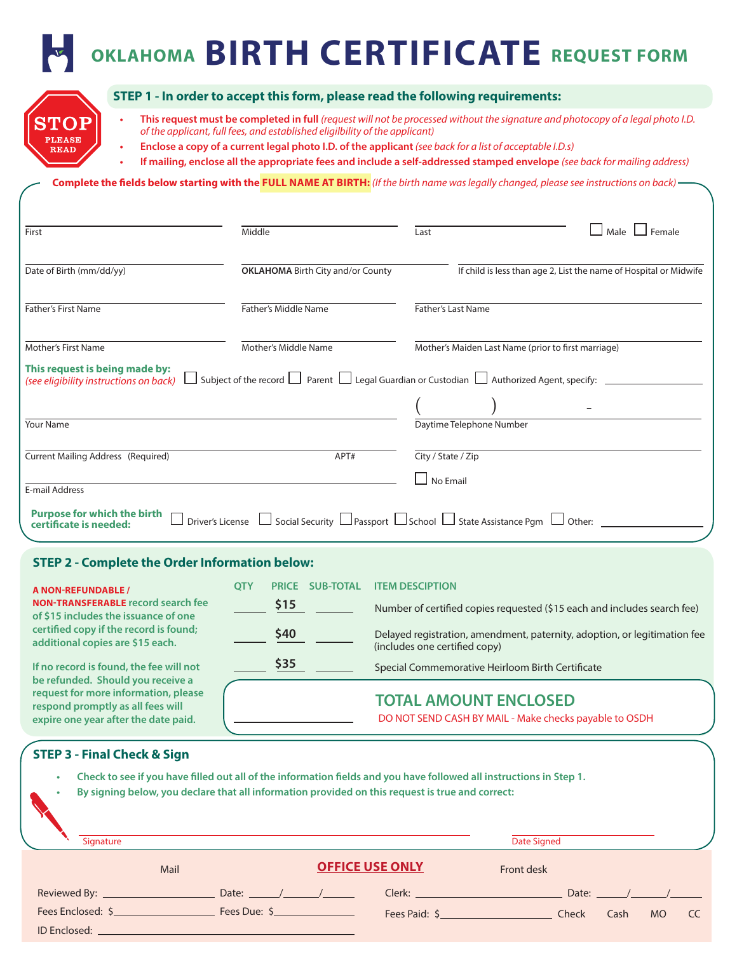# **OKLAHOMA BIRTH CERTIFICATE REQUEST FORM**



ID Enclosed: \_\_

#### **STEP 1 - In order to accept this form, please read the following requirements:**

- **• This request must be completed in full** *(request will not be processed without the signature and photocopy of a legal photo I.D. of the applicant, full fees, and established eligilbility of the applicant)*
	- **• Enclose a copy of a current legal photo I.D. of the applicant** *(see back for a list of acceptable I.D.s)*
- **• If mailing, enclose all the appropriate fees and include a self-addressed stamped envelope** *(see back for mailing address)*

**Complete the fields below starting with the FULL NAME AT BIRTH:** *(If the birth name was legally changed, please see instructions on back)*

| First                                                                    | Middle                                                                                                                  | Last                                                | Female<br>Male                                                    |  |
|--------------------------------------------------------------------------|-------------------------------------------------------------------------------------------------------------------------|-----------------------------------------------------|-------------------------------------------------------------------|--|
| Date of Birth (mm/dd/yy)                                                 | <b>OKLAHOMA</b> Birth City and/or County                                                                                |                                                     | If child is less than age 2, List the name of Hospital or Midwife |  |
| <b>Father's First Name</b>                                               | Father's Middle Name                                                                                                    | <b>Father's Last Name</b>                           |                                                                   |  |
| Mother's First Name                                                      | Mother's Middle Name                                                                                                    | Mother's Maiden Last Name (prior to first marriage) |                                                                   |  |
| This request is being made by:<br>(see eligibility instructions on back) | Subject of the record $\Box$ Parent $\Box$ Legal Guardian or Custodian $\Box$ Authorized Agent, specify:                |                                                     |                                                                   |  |
|                                                                          |                                                                                                                         |                                                     |                                                                   |  |
| <b>Your Name</b>                                                         |                                                                                                                         | Daytime Telephone Number                            |                                                                   |  |
| <b>Current Mailing Address (Required)</b>                                | APT#                                                                                                                    | City / State / Zip                                  |                                                                   |  |
| E-mail Address                                                           |                                                                                                                         | No Email                                            |                                                                   |  |
| <b>Purpose for which the birth</b><br>certificate is needed:             | $\mid$ Social Security $\sqcup$ Passport $\sqcup$ School $\sqcup$ State Assistance Pgm $\;\sqcup\;$<br>Driver's License |                                                     | Other:                                                            |  |

#### **STEP 2 - Complete the Order Information below:**

| <b>A NON-REFUNDABLE /</b><br><b>NON-TRANSFERABLE record search fee</b><br>of \$15 includes the issuance of one<br>certified copy if the record is found;<br>additional copies are \$15 each.      | <b>OTY</b> | <b>PRICE</b> | <b>SUB-TOTAL</b> | <b>ITEM DESCIPTION</b>                                                                                     |
|---------------------------------------------------------------------------------------------------------------------------------------------------------------------------------------------------|------------|--------------|------------------|------------------------------------------------------------------------------------------------------------|
|                                                                                                                                                                                                   |            | \$15         |                  | Number of certified copies requested (\$15 each and includes search fee)                                   |
|                                                                                                                                                                                                   |            | \$40         |                  | Delayed registration, amendment, paternity, adoption, or legitimation fee<br>(includes one certified copy) |
| If no record is found, the fee will not<br>be refunded. Should you receive a<br>request for more information, please<br>respond promptly as all fees will<br>expire one year after the date paid. |            | \$35         |                  | Special Commemorative Heirloom Birth Certificate                                                           |
|                                                                                                                                                                                                   |            |              |                  | <b>TOTAL AMOUNT ENCLOSED</b><br>DO NOT SEND CASH BY MAIL - Make checks payable to OSDH                     |

### **STEP 3 - Final Check & Sign** Reviewed By:  $\frac{1}{2}$  Date:  $\frac{1}{2}$  Date:  $\frac{1}{2}$ Fees Enclosed: \$ Fees Due: \$ Clerk: Date: / / Fees Paid: \$ Check Cash MO CC **Mail** Mail **OFFICE USE ONLY Front desk • Check to see if you have filled out all of the information fields and you have followed all instructions in Step 1. • By signing below, you declare that all information provided on this request is true and correct:** Signature Date Signed